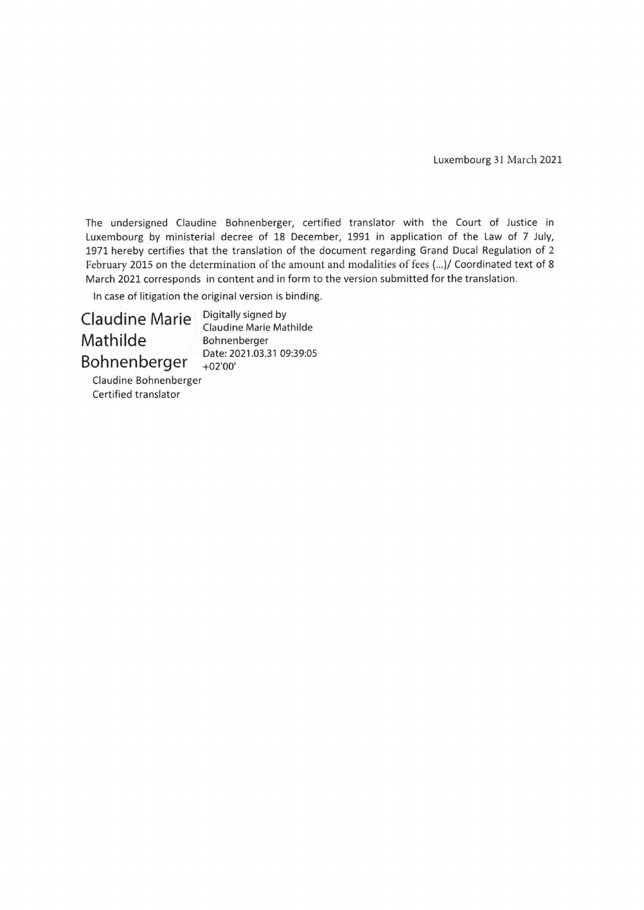Luxembourg 31 March 2021

The undersigned Claudine Bohnenberger, certified translator with the Court of Justice in Luxembourg by ministerial decree of 18 December, 1991 in application of the Law of 7 July, 1971 hereby certifies that the translation of the document regarding Grand Ducal Regulation of 2 February 2015 on the determination of the amount and modalities of fees (...)/ Coordinated text of 8 March 2021 corresponds in content and in form to the version submitted for the translation.

ln case of litigation the original version is binding.

Claudine Marie Mathilde Bohnenberger

Digitally signed by Claudine Marie Mathilde Bohnenberger Date: 2021.03.31 09:39:05 +02'00'

Claudine Bohnenberger Certified translator